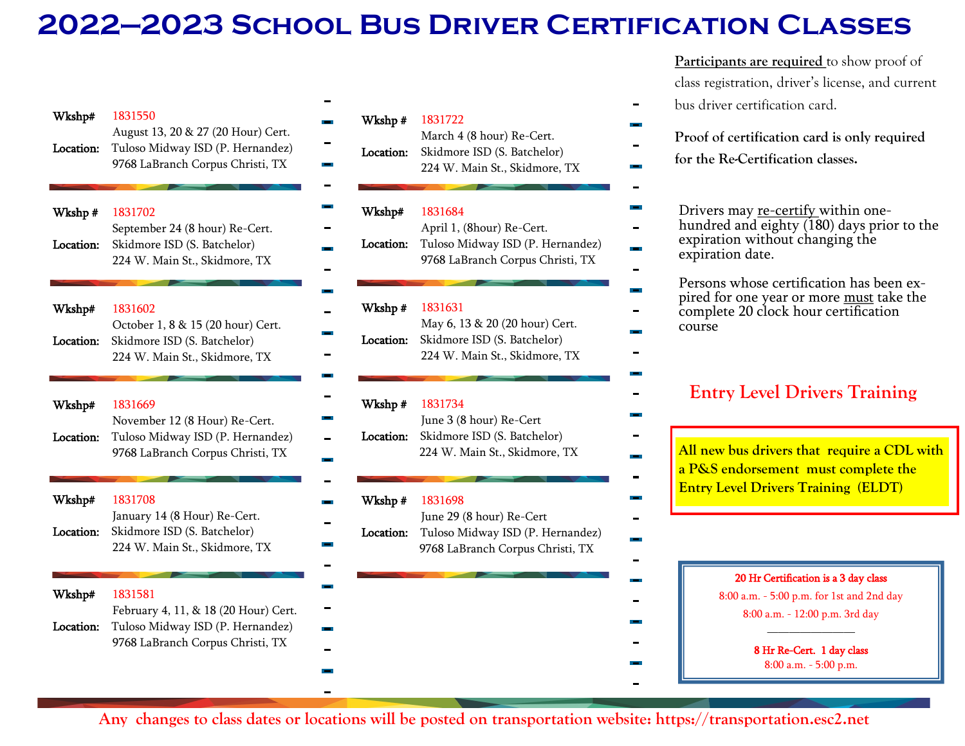## **2022—2023 School Bus Driver Certification Classes**

| Wkshp#<br>Location: | 1831550<br>August 13, 20 & 27 (20 Hour) Cert.<br>Tuloso Midway ISD (P. Hernandez)<br>9768 LaBranch Corpus Christi, TX   | Wkshp#<br>Location: | 1831722<br>March 4 (8 hour) Re-Cert.<br>Skidmore ISD (S. Batchelor)<br>224 W. Main St., Skidmore, TX         |
|---------------------|-------------------------------------------------------------------------------------------------------------------------|---------------------|--------------------------------------------------------------------------------------------------------------|
| Wkshp#<br>Location: | 1831702<br>September 24 (8 hour) Re-Cert.<br>Skidmore ISD (S. Batchelor)<br>224 W. Main St., Skidmore, TX               | Wkshp#<br>Location: | 1831684<br>April 1, (8hour) Re-Cert.<br>Tuloso Midway ISD (P. Hernandez)<br>9768 LaBranch Corpus Christi, TX |
| Wkshp#<br>Location: | 1831602<br>October 1, 8 & 15 (20 hour) Cert.<br>Skidmore ISD (S. Batchelor)<br>224 W. Main St., Skidmore, TX            | Wkshp#<br>Location: | 1831631<br>May 6, 13 & 20 (20 hour) Cert.<br>Skidmore ISD (S. Batchelor)<br>224 W. Main St., Skidmore, TX    |
| Wkshp#<br>Location: | 1831669<br>November 12 (8 Hour) Re-Cert.<br>Tuloso Midway ISD (P. Hernandez)<br>9768 LaBranch Corpus Christi, TX        | Wkshp#<br>Location: | 1831734<br>June 3 (8 hour) Re-Cert<br>Skidmore ISD (S. Batchelor)<br>224 W. Main St., Skidmore, TX           |
| Wkshp#<br>Location: | 1831708<br>January 14 (8 Hour) Re-Cert.<br>Skidmore ISD (S. Batchelor)<br>224 W. Main St., Skidmore, TX                 | Wkshp#<br>Location: | 1831698<br>June 29 (8 hour) Re-Cert<br>Tuloso Midway ISD (P. Hernandez)<br>9768 LaBranch Corpus Christi, TX  |
| Wkshp#<br>Location: | 1831581<br>February 4, 11, & 18 (20 Hour) Cert.<br>Tuloso Midway ISD (P. Hernandez)<br>9768 LaBranch Corpus Christi, TX |                     |                                                                                                              |

Participants are required to show proof of class registration, driver's license, and current

- bus driver certification card.
	- **Proof of certification card is only required**
	- **for the Re-Certification classes.**
	- Drivers may re-certify within onehundred and eighty (180) days prior to the expiration without changing the expiration date.

Persons whose certification has been expired for one year or more must take the complete 20 clock hour certification course

## **Entry Level Drivers Training**

**All new bus drivers that require a CDL with a P&S endorsement must complete the Entry Level Drivers Training (ELDT)** 

## 20 Hr Certification is a 3 day class

8:00 a.m. - 5:00 p.m. for 1st and 2nd day 8:00 a.m. - 12:00 p.m. 3rd day

————————

8 Hr Re-Cert. 1 day class 8:00 a.m. - 5:00 p.m.

**Any changes to class dates or locations will be posted on transportation website: https://transportation.esc2.net**